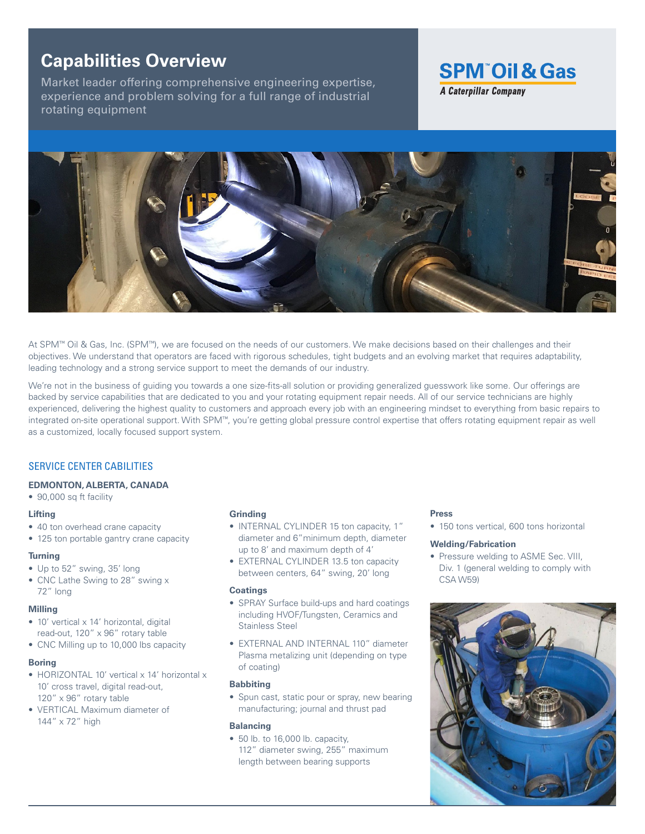# **Capabilities Overview**

Market leader offering comprehensive engineering expertise, experience and problem solving for a full range of industrial rotating equipment





At SPM™ Oil & Gas, Inc. (SPM™), we are focused on the needs of our customers. We make decisions based on their challenges and their objectives. We understand that operators are faced with rigorous schedules, tight budgets and an evolving market that requires adaptability, leading technology and a strong service support to meet the demands of our industry.

We're not in the business of guiding you towards a one size-fits-all solution or providing generalized guesswork like some. Our offerings are backed by service capabilities that are dedicated to you and your rotating equipment repair needs. All of our service technicians are highly experienced, delivering the highest quality to customers and approach every job with an engineering mindset to everything from basic repairs to integrated on-site operational support. With SPM™, you're getting global pressure control expertise that offers rotating equipment repair as well as a customized, locally focused support system.

# SERVICE CENTER CABILITIES

# **EDMONTON, ALBERTA, CANADA**

- 90,000 sq ft facility
- **Lifting**
- 40 ton overhead crane capacity
- 125 ton portable gantry crane capacity

#### **Turning**

- Up to 52" swing, 35' long
- CNC Lathe Swing to 28" swing x 72" long

# **Milling**

- 10' vertical x 14' horizontal, digital read-out, 120" x 96" rotary table
- CNC Milling up to 10,000 lbs capacity

# **Boring**

- HORIZONTAL 10' vertical x 14' horizontal x 10' cross travel, digital read-out, 120" x 96" rotary table
- VERTICAL Maximum diameter of 144" x 72" high

#### **Grinding**

- INTERNAL CYLINDER 15 ton capacity, 1" diameter and 6"minimum depth, diameter up to 8' and maximum depth of 4'
- EXTERNAL CYLINDER 13.5 ton capacity between centers, 64" swing, 20' long

#### **Coatings**

- SPRAY Surface build-ups and hard coatings including HVOF/Tungsten, Ceramics and Stainless Steel
- EXTERNAL AND INTERNAL 110" diameter Plasma metalizing unit (depending on type of coating)

# **Babbiting**

• Spun cast, static pour or spray, new bearing manufacturing; journal and thrust pad

#### **Balancing**

• 50 lb. to 16,000 lb. capacity, 112" diameter swing, 255" maximum length between bearing supports

#### **Press**

• 150 tons vertical, 600 tons horizontal

#### **Welding/Fabrication**

• Pressure welding to ASME Sec. VIII, Div. 1 (general welding to comply with CSA W59)